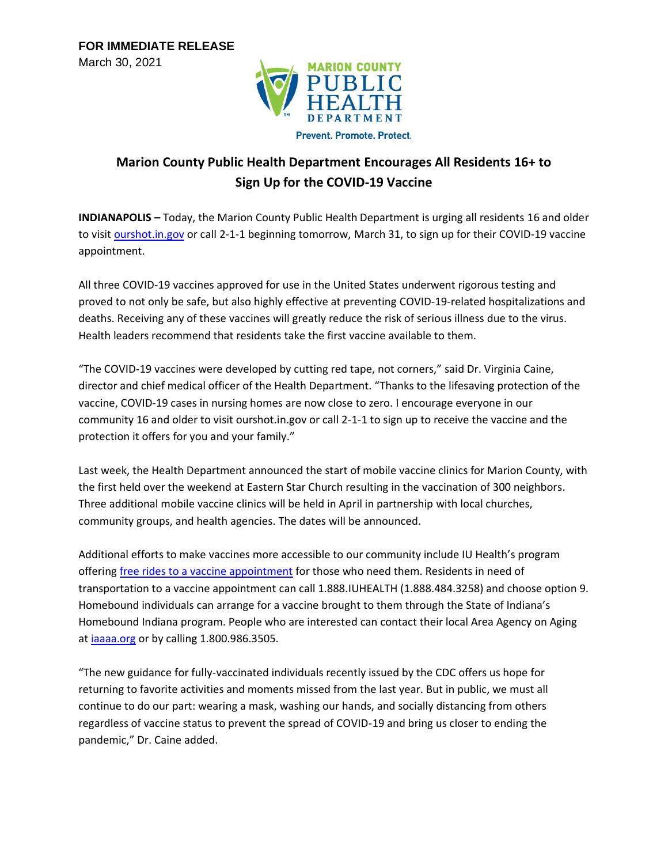

Prevent, Promote, Protect.

## **Marion County Public Health Department Encourages All Residents 16+ to Sign Up for the COVID-19 Vaccine**

**INDIANAPOLIS –** Today, the Marion County Public Health Department is urging all residents 16 and older to visit [ourshot.in.gov](http://ourshot.in.gov/) or call 2-1-1 beginning tomorrow, March 31, to sign up for their COVID-19 vaccine appointment.

All three COVID-19 vaccines approved for use in the United States underwent rigorous testing and proved to not only be safe, but also highly effective at preventing COVID-19-related hospitalizations and deaths. Receiving any of these vaccines will greatly reduce the risk of serious illness due to the virus. Health leaders recommend that residents take the first vaccine available to them.

"The COVID-19 vaccines were developed by cutting red tape, not corners," said Dr. Virginia Caine, director and chief medical officer of the Health Department. "Thanks to the lifesaving protection of the vaccine, COVID-19 cases in nursing homes are now close to zero. I encourage everyone in our community 16 and older to visit ourshot.in.gov or call 2-1-1 to sign up to receive the vaccine and the protection it offers for you and your family."

Last week, the Health Department announced the start of mobile vaccine clinics for Marion County, with the first held over the weekend at Eastern Star Church resulting in the vaccination of 300 neighbors. Three additional mobile vaccine clinics will be held in April in partnership with local churches, community groups, and health agencies. The dates will be announced.

Additional efforts to make vaccines more accessible to our community include IU Health's program offering [free rides to a vaccine appointment](https://iuhealth.org/for-media/press-releases/need-a-ride-to-get-a-vaccine-iu-health-is-here-to-help) for those who need them. Residents in need of transportation to a vaccine appointment can call 1.888.IUHEALTH (1.888.484.3258) and choose option 9. Homebound individuals can arrange for a vaccine brought to them through the State of Indiana's Homebound Indiana program. People who are interested can contact their local Area Agency on Aging at [iaaaa.org](http://iaaaa.org/) or by calling 1.800.986.3505.

"The new guidance for fully-vaccinated individuals recently issued by the CDC offers us hope for returning to favorite activities and moments missed from the last year. But in public, we must all continue to do our part: wearing a mask, washing our hands, and socially distancing from others regardless of vaccine status to prevent the spread of COVID-19 and bring us closer to ending the pandemic," Dr. Caine added.